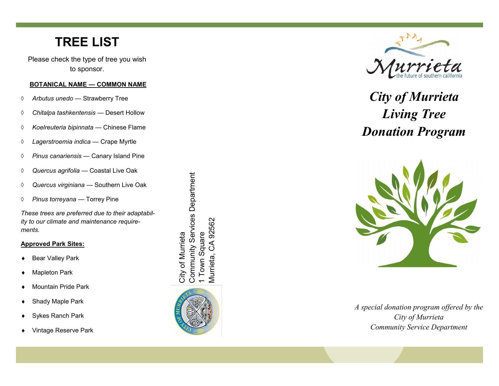## **TREE LIST**

Please check the type of tree you wish to sponsor.

#### **BOTANICAL NAME — COMMON NAME**

- *Arbutus unedo*  Strawberry Tree
- *Chitalpa tashkentensis*  Desert Hollow
- *Koelreuteria bipinnata*  Chinese Flame
- *Lagerstroemia indica —* Crape Myrtle
- *Pinus canariensis*  Canary Island Pine
- *Quercus agrifolia*  Coastal Live Oak
- *Quercus virginiana —* Southern Live Oak
- *Pinus torreyana —* Torrey Pine

*These trees are preferred due to their adaptability to our climate and maintenance requirements.* 

#### **Approved Park Sites:**

◆ Bear Valley Park

- ◆ Mapleton Park
- ◆ Mountain Pride Park
- ◆ Shady Maple Park
- ◆ Sykes Ranch Park
- ◆ Vintage Reserve Park

Community Services Department Community Services Department 92562 Murrieta, CA 92562 1 Town Square 1 Town Square City of Murrieta City of Murrieta  $\mathcal{S}$ Murrieta,





# *City of Murrieta Living Tree Donation Program*



*A special donation program offered by the City of Murrieta Community Service Department*